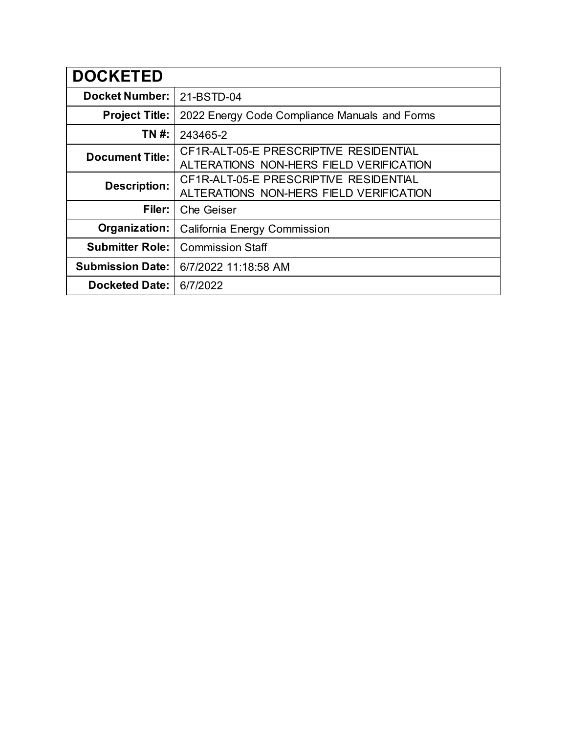| <b>DOCKETED</b>         |                                                                                   |  |  |  |  |
|-------------------------|-----------------------------------------------------------------------------------|--|--|--|--|
| <b>Docket Number:</b>   | 21-BSTD-04                                                                        |  |  |  |  |
| <b>Project Title:</b>   | 2022 Energy Code Compliance Manuals and Forms                                     |  |  |  |  |
| TN #:                   | 243465-2                                                                          |  |  |  |  |
| <b>Document Title:</b>  | CF1R-ALT-05-E PRESCRIPTIVE RESIDENTIAL<br>ALTERATIONS NON-HERS FIELD VERIFICATION |  |  |  |  |
| <b>Description:</b>     | CF1R-ALT-05-E PRESCRIPTIVE RESIDENTIAL<br>ALTERATIONS NON-HERS FIELD VERIFICATION |  |  |  |  |
| Filer:                  | <b>Che Geiser</b>                                                                 |  |  |  |  |
| Organization:           | California Energy Commission                                                      |  |  |  |  |
| <b>Submitter Role:</b>  | <b>Commission Staff</b>                                                           |  |  |  |  |
| <b>Submission Date:</b> | 6/7/2022 11:18:58 AM                                                              |  |  |  |  |
| <b>Docketed Date:</b>   | 6/7/2022                                                                          |  |  |  |  |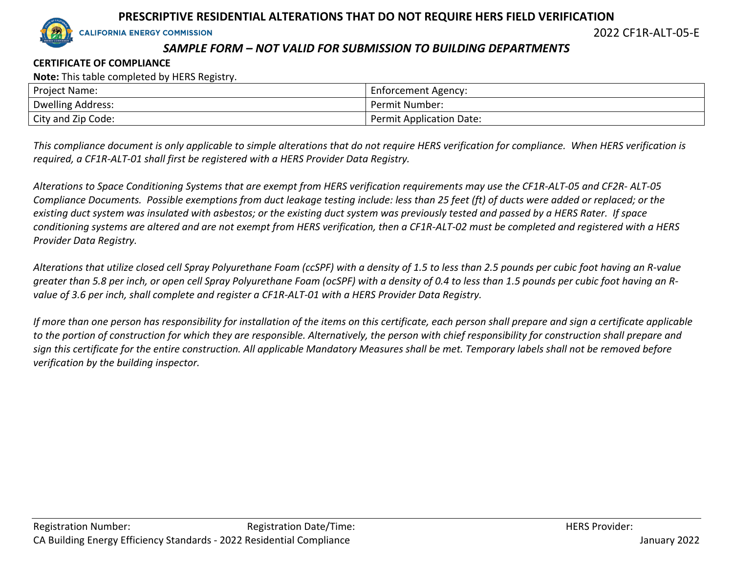

2022 CF1R-ALT-05-E

# *SAMPLE FORM – NOT VALID FOR SUBMISSION TO BUILDING DEPARTMENTS*

#### **CERTIFICATE OF COMPLIANCE**

**Note:** This table completed by HERS Registry.

| <b>Project Name:</b> | Enforcement Agency:      |
|----------------------|--------------------------|
| Dwelling Address:    | Permit Number:           |
| City and Zip Code:   | Permit Application Date: |

*This compliance document is only applicable to simple alterations that do not require HERS verification for compliance. When HERS verification is required, a CF1R-ALT-01 shall first be registered with a HERS Provider Data Registry.*

*Alterations to Space Conditioning Systems that are exempt from HERS verification requirements may use the CF1R-ALT-05 and CF2R- ALT-05 Compliance Documents. Possible exemptions from duct leakage testing include: less than 25 feet (ft) of ducts were added or replaced; or the existing duct system was insulated with asbestos; or the existing duct system was previously tested and passed by a HERS Rater. If space conditioning systems are altered and are not exempt from HERS verification, then a CF1R-ALT-02 must be completed and registered with a HERS Provider Data Registry.*

*Alterations that utilize closed cell Spray Polyurethane Foam (ccSPF) with a density of 1.5 to less than 2.5 pounds per cubic foot having an R-value greater than 5.8 per inch, or open cell Spray Polyurethane Foam (ocSPF) with a density of 0.4 to less than 1.5 pounds per cubic foot having an Rvalue of 3.6 per inch, shall complete and register a CF1R-ALT-01 with a HERS Provider Data Registry.*

*If more than one person has responsibility for installation of the items on this certificate, each person shall prepare and sign a certificate applicable to the portion of construction for which they are responsible. Alternatively, the person with chief responsibility for construction shall prepare and sign this certificate for the entire construction. All applicable Mandatory Measures shall be met. Temporary labels shall not be removed before verification by the building inspector.*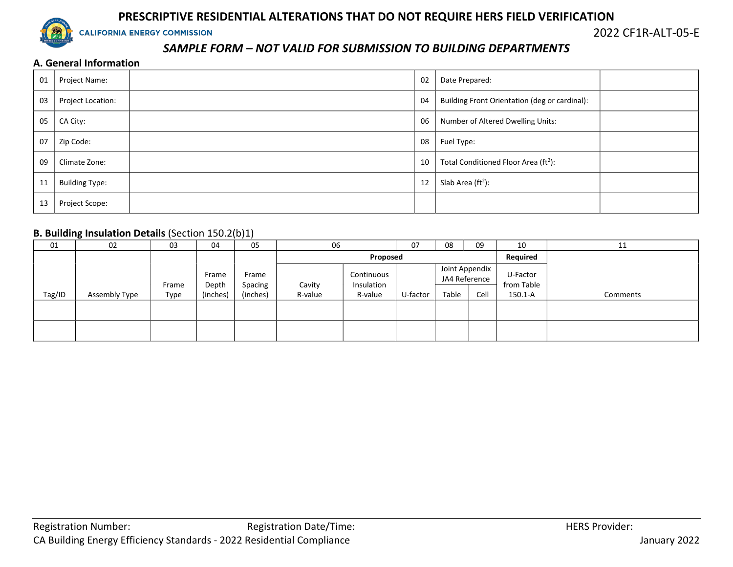

2022 CF1R-ALT-05-E

# *SAMPLE FORM – NOT VALID FOR SUBMISSION TO BUILDING DEPARTMENTS*

#### **A. General Information**

| 01 | Project Name:         | 02 | Date Prepared:                                   |  |
|----|-----------------------|----|--------------------------------------------------|--|
| 03 | Project Location:     | 04 | Building Front Orientation (deg or cardinal):    |  |
| 05 | CA City:              | 06 | Number of Altered Dwelling Units:                |  |
| 07 | Zip Code:             | 08 | Fuel Type:                                       |  |
| 09 | Climate Zone:         | 10 | Total Conditioned Floor Area (ft <sup>2</sup> ): |  |
| 11 | <b>Building Type:</b> | 12 | Slab Area $(ft2)$ :                              |  |
| 13 | Project Scope:        |    |                                                  |  |

#### **B. Building Insulation Details** (Section 150.2(b)1)

| 01     | 02            | 03    | 04             | $\cdot$ , , ,<br>05 | 06      |                          | 07       | 08    | 09                              | 10                     | 11       |
|--------|---------------|-------|----------------|---------------------|---------|--------------------------|----------|-------|---------------------------------|------------------------|----------|
|        |               |       |                |                     |         | Proposed                 |          |       |                                 | Required               |          |
|        |               | Frame | Frame<br>Depth | Frame<br>Spacing    | Cavity  | Continuous<br>Insulation |          |       | Joint Appendix<br>JA4 Reference | U-Factor<br>from Table |          |
| Tag/ID | Assembly Type | Type  | (inches)       | (inches)            | R-value | R-value                  | U-factor | Table | Cell                            | 150.1-A                | Comments |
|        |               |       |                |                     |         |                          |          |       |                                 |                        |          |
|        |               |       |                |                     |         |                          |          |       |                                 |                        |          |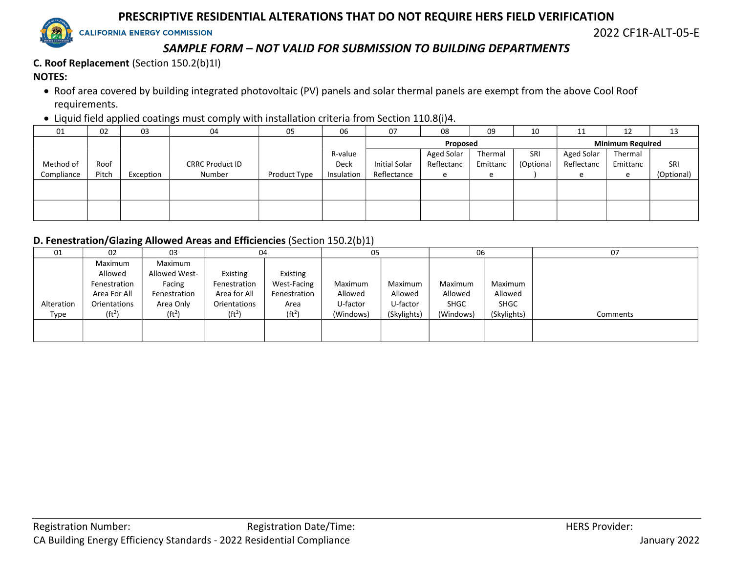

2022 CF1R-ALT-05-E

# *SAMPLE FORM – NOT VALID FOR SUBMISSION TO BUILDING DEPARTMENTS*

**C. Roof Replacement** (Section 150.2(b)1I) **NOTES:**

- Roof area covered by building integrated photovoltaic (PV) panels and solar thermal panels are exempt from the above Cool Roof requirements.
- Liquid field applied coatings must comply with installation criteria from Section 110.8(i)4.

| 01         | 02    | 03        | 04                     | 05           | 06         | 07                   | 08         | 09       | 10        | 11         | 12                      | 13         |
|------------|-------|-----------|------------------------|--------------|------------|----------------------|------------|----------|-----------|------------|-------------------------|------------|
|            |       |           |                        |              |            |                      | Proposed   |          |           |            | <b>Minimum Required</b> |            |
|            |       |           |                        |              | R-value    |                      | Aged Solar | Thermal  | SRI       | Aged Solar | Thermal                 |            |
| Method of  | Roof  |           | <b>CRRC Product ID</b> |              | Deck       | <b>Initial Solar</b> | Reflectanc | Emittanc | (Optional | Reflectanc | Emittanc                | SRI        |
| Compliance | Pitch | Exception | Number                 | Product Type | Insulation | Reflectance          | e          | e        |           | e          | e                       | (Optional) |
|            |       |           |                        |              |            |                      |            |          |           |            |                         |            |
|            |       |           |                        |              |            |                      |            |          |           |            |                         |            |
|            |       |           |                        |              |            |                      |            |          |           |            |                         |            |
|            |       |           |                        |              |            |                      |            |          |           |            |                         |            |

#### **D. Fenestration/Glazing Allowed Areas and Efficiencies** (Section 150.2(b)1)

| 01         | 02                 | 03                 | 04                 |                    | 05        |             | 06          |             | 07       |
|------------|--------------------|--------------------|--------------------|--------------------|-----------|-------------|-------------|-------------|----------|
|            | Maximum            | Maximum            |                    |                    |           |             |             |             |          |
|            | Allowed            | Allowed West-      | Existing           | Existing           |           |             |             |             |          |
|            | Fenestration       | Facing             | Fenestration       | <b>West-Facing</b> | Maximum   | Maximum     | Maximum     | Maximum     |          |
|            | Area For All       | Fenestration       | Area for All       | Fenestration       | Allowed   | Allowed     | Allowed     | Allowed     |          |
| Alteration | Orientations       | Area Only          | Orientations       | Area               | U-factor  | U-factor    | <b>SHGC</b> | <b>SHGC</b> |          |
| Type       | (ft <sup>2</sup> ) | (ft <sup>2</sup> ) | (ft <sup>2</sup> ) | (ft <sup>2</sup> ) | (Windows) | (Skylights) | (Windows)   | (Skylights) | Comments |
|            |                    |                    |                    |                    |           |             |             |             |          |
|            |                    |                    |                    |                    |           |             |             |             |          |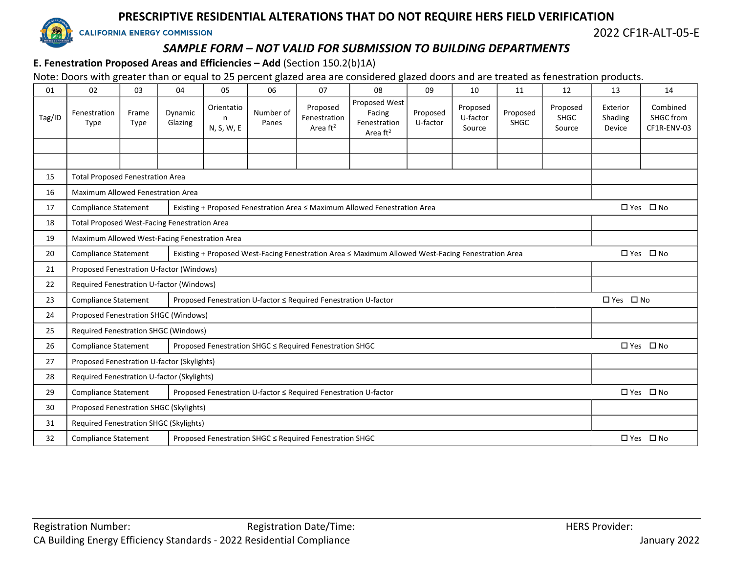

2022 CF1R-ALT-05-E

# *SAMPLE FORM – NOT VALID FOR SUBMISSION TO BUILDING DEPARTMENTS*

### **E. Fenestration Proposed Areas and Efficiencies – Add** (Section 150.2(b)1A)

Note: Doors with greater than or equal to 25 percent glazed area are considered glazed doors and are treated as fenestration products.

| 01     | 02                                                                                                                               | 03            | 04                 | 05                            | 06                 | 07                                                              | 08                                                                        | 09                   | 10                             | 11                      | 12                                | 13                            | 14                                   |
|--------|----------------------------------------------------------------------------------------------------------------------------------|---------------|--------------------|-------------------------------|--------------------|-----------------------------------------------------------------|---------------------------------------------------------------------------|----------------------|--------------------------------|-------------------------|-----------------------------------|-------------------------------|--------------------------------------|
| Tag/ID | Fenestration<br>Type                                                                                                             | Frame<br>Type | Dynamic<br>Glazing | Orientatio<br>n<br>N, S, W, E | Number of<br>Panes | Proposed<br>Fenestration<br>Area $ft2$                          | Proposed West<br>Facing<br>Fenestration<br>Area $ft^2$                    | Proposed<br>U-factor | Proposed<br>U-factor<br>Source | Proposed<br><b>SHGC</b> | Proposed<br><b>SHGC</b><br>Source | Exterior<br>Shading<br>Device | Combined<br>SHGC from<br>CF1R-ENV-03 |
|        |                                                                                                                                  |               |                    |                               |                    |                                                                 |                                                                           |                      |                                |                         |                                   |                               |                                      |
|        |                                                                                                                                  |               |                    |                               |                    |                                                                 |                                                                           |                      |                                |                         |                                   |                               |                                      |
| 15     | <b>Total Proposed Fenestration Area</b>                                                                                          |               |                    |                               |                    |                                                                 |                                                                           |                      |                                |                         |                                   |                               |                                      |
| 16     | <b>Maximum Allowed Fenestration Area</b>                                                                                         |               |                    |                               |                    |                                                                 |                                                                           |                      |                                |                         |                                   |                               |                                      |
| 17     | <b>Compliance Statement</b>                                                                                                      |               |                    |                               |                    |                                                                 | Existing + Proposed Fenestration Area ≤ Maximum Allowed Fenestration Area |                      |                                |                         |                                   |                               | □ Yes □ No                           |
| 18     | <b>Total Proposed West-Facing Fenestration Area</b>                                                                              |               |                    |                               |                    |                                                                 |                                                                           |                      |                                |                         |                                   |                               |                                      |
| 19     | Maximum Allowed West-Facing Fenestration Area                                                                                    |               |                    |                               |                    |                                                                 |                                                                           |                      |                                |                         |                                   |                               |                                      |
| 20     | Existing + Proposed West-Facing Fenestration Area ≤ Maximum Allowed West-Facing Fenestration Area<br><b>Compliance Statement</b> |               |                    |                               |                    |                                                                 |                                                                           |                      |                                |                         |                                   | □ Yes □ No                    |                                      |
| 21     | Proposed Fenestration U-factor (Windows)                                                                                         |               |                    |                               |                    |                                                                 |                                                                           |                      |                                |                         |                                   |                               |                                      |
| 22     | Required Fenestration U-factor (Windows)                                                                                         |               |                    |                               |                    |                                                                 |                                                                           |                      |                                |                         |                                   |                               |                                      |
| 23     | <b>Compliance Statement</b>                                                                                                      |               |                    |                               |                    | Proposed Fenestration U-factor ≤ Required Fenestration U-factor |                                                                           |                      |                                |                         |                                   | □ Yes □ No                    |                                      |
| 24     | Proposed Fenestration SHGC (Windows)                                                                                             |               |                    |                               |                    |                                                                 |                                                                           |                      |                                |                         |                                   |                               |                                      |
| 25     | <b>Required Fenestration SHGC (Windows)</b>                                                                                      |               |                    |                               |                    |                                                                 |                                                                           |                      |                                |                         |                                   |                               |                                      |
| 26     | <b>Compliance Statement</b>                                                                                                      |               |                    |                               |                    | Proposed Fenestration SHGC ≤ Required Fenestration SHGC         |                                                                           |                      |                                |                         |                                   |                               | □ Yes □ No                           |
| 27     | Proposed Fenestration U-factor (Skylights)                                                                                       |               |                    |                               |                    |                                                                 |                                                                           |                      |                                |                         |                                   |                               |                                      |
| 28     | Required Fenestration U-factor (Skylights)                                                                                       |               |                    |                               |                    |                                                                 |                                                                           |                      |                                |                         |                                   |                               |                                      |
| 29     | <b>Compliance Statement</b><br>Proposed Fenestration U-factor ≤ Required Fenestration U-factor                                   |               |                    |                               |                    |                                                                 |                                                                           |                      |                                |                         | □ Yes □ No                        |                               |                                      |
| 30     | Proposed Fenestration SHGC (Skylights)                                                                                           |               |                    |                               |                    |                                                                 |                                                                           |                      |                                |                         |                                   |                               |                                      |
| 31     | Required Fenestration SHGC (Skylights)                                                                                           |               |                    |                               |                    |                                                                 |                                                                           |                      |                                |                         |                                   |                               |                                      |
| 32     | <b>Compliance Statement</b>                                                                                                      |               |                    |                               |                    | Proposed Fenestration SHGC ≤ Required Fenestration SHGC         |                                                                           |                      |                                |                         |                                   |                               | □ Yes □ No                           |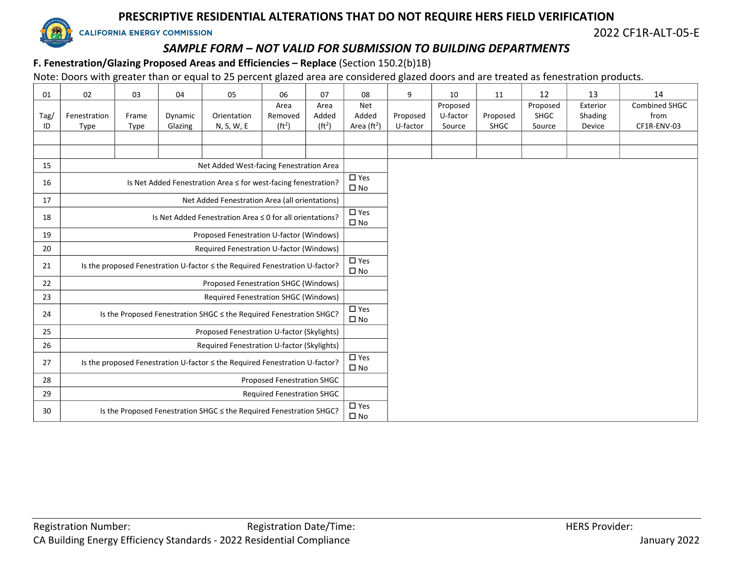

2022 CF1R-ALT-05-E

# *SAMPLE FORM – NOT VALID FOR SUBMISSION TO BUILDING DEPARTMENTS*

# **F. Fenestration/Glazing Proposed Areas and Efficiencies – Replace** (Section 150.2(b)1B)

Note: Doors with greater than or equal to 25 percent glazed area are considered glazed doors and are treated as fenestration products.

| 01         | 02                                                                          | 03                   | 04                 | 05                                                                          | 06                                    | 07                                  | 08                                             | 9                    | 10                             | 11                      | 12                                | 13                            | 14                                          |
|------------|-----------------------------------------------------------------------------|----------------------|--------------------|-----------------------------------------------------------------------------|---------------------------------------|-------------------------------------|------------------------------------------------|----------------------|--------------------------------|-------------------------|-----------------------------------|-------------------------------|---------------------------------------------|
| Tag/<br>ID | Fenestration<br>Type                                                        | Frame<br><b>Type</b> | Dynamic<br>Glazing | Orientation<br>N, S, W, E                                                   | Area<br>Removed<br>(ft <sup>2</sup> ) | Area<br>Added<br>(ft <sup>2</sup> ) | <b>Net</b><br>Added<br>Area (ft <sup>2</sup> ) | Proposed<br>U-factor | Proposed<br>U-factor<br>Source | Proposed<br><b>SHGC</b> | Proposed<br><b>SHGC</b><br>Source | Exterior<br>Shading<br>Device | <b>Combined SHGC</b><br>from<br>CF1R-ENV-03 |
|            |                                                                             |                      |                    |                                                                             |                                       |                                     |                                                |                      |                                |                         |                                   |                               |                                             |
|            |                                                                             |                      |                    |                                                                             |                                       |                                     |                                                |                      |                                |                         |                                   |                               |                                             |
| 15         |                                                                             |                      |                    | Net Added West-facing Fenestration Area                                     |                                       |                                     |                                                |                      |                                |                         |                                   |                               |                                             |
| 16         |                                                                             |                      |                    | Is Net Added Fenestration Area ≤ for west-facing fenestration?              |                                       |                                     | $\overline{\Box}$ Yes<br>$\square$ No          |                      |                                |                         |                                   |                               |                                             |
| 17         |                                                                             |                      |                    | Net Added Fenestration Area (all orientations)                              |                                       |                                     |                                                |                      |                                |                         |                                   |                               |                                             |
| 18         |                                                                             |                      |                    | Is Net Added Fenestration Area ≤ 0 for all orientations?                    |                                       |                                     | $\square$ Yes<br>$\square$ No                  |                      |                                |                         |                                   |                               |                                             |
| 19         |                                                                             |                      |                    | Proposed Fenestration U-factor (Windows)                                    |                                       |                                     |                                                |                      |                                |                         |                                   |                               |                                             |
| 20         |                                                                             |                      |                    | Required Fenestration U-factor (Windows)                                    |                                       |                                     |                                                |                      |                                |                         |                                   |                               |                                             |
| 21         |                                                                             |                      |                    | Is the proposed Fenestration U-factor < the Required Fenestration U-factor? |                                       |                                     | $\Box$ Yes<br>$\square$ No                     |                      |                                |                         |                                   |                               |                                             |
| 22         |                                                                             |                      |                    | Proposed Fenestration SHGC (Windows)                                        |                                       |                                     |                                                |                      |                                |                         |                                   |                               |                                             |
| 23         |                                                                             |                      |                    | Required Fenestration SHGC (Windows)                                        |                                       |                                     |                                                |                      |                                |                         |                                   |                               |                                             |
| 24         |                                                                             |                      |                    | Is the Proposed Fenestration SHGC ≤ the Required Fenestration SHGC?         |                                       |                                     | $\square$ Yes<br>$\square$ No                  |                      |                                |                         |                                   |                               |                                             |
| 25         |                                                                             |                      |                    | Proposed Fenestration U-factor (Skylights)                                  |                                       |                                     |                                                |                      |                                |                         |                                   |                               |                                             |
| 26         |                                                                             |                      |                    | Required Fenestration U-factor (Skylights)                                  |                                       |                                     |                                                |                      |                                |                         |                                   |                               |                                             |
| 27         | Is the proposed Fenestration U-factor < the Required Fenestration U-factor? |                      |                    |                                                                             |                                       |                                     |                                                |                      |                                |                         |                                   |                               |                                             |
| 28         | Proposed Fenestration SHGC                                                  |                      |                    |                                                                             |                                       |                                     |                                                |                      |                                |                         |                                   |                               |                                             |
| 29         | <b>Required Fenestration SHGC</b>                                           |                      |                    |                                                                             |                                       |                                     |                                                |                      |                                |                         |                                   |                               |                                             |
| 30         |                                                                             |                      |                    | Is the Proposed Fenestration SHGC ≤ the Required Fenestration SHGC?         |                                       |                                     | $\square$ Yes<br>$\square$ No                  |                      |                                |                         |                                   |                               |                                             |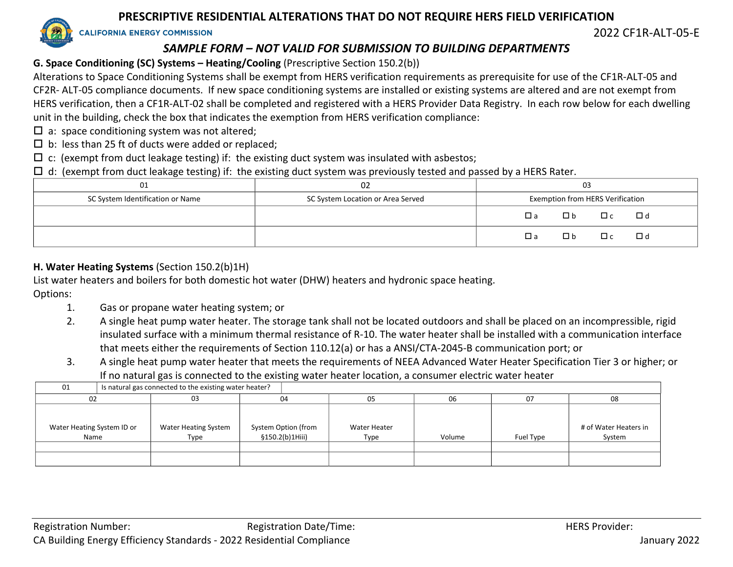**CALIFORNIA ENERGY COMMISSION** 

2022 CF1R-ALT-05-E

# *SAMPLE FORM – NOT VALID FOR SUBMISSION TO BUILDING DEPARTMENTS*

# **G. Space Conditioning (SC) Systems – Heating/Cooling** (Prescriptive Section 150.2(b))

Alterations to Space Conditioning Systems shall be exempt from HERS verification requirements as prerequisite for use of the CF1R-ALT-05 and CF2R- ALT-05 compliance documents. If new space conditioning systems are installed or existing systems are altered and are not exempt from HERS verification, then a CF1R-ALT-02 shall be completed and registered with a HERS Provider Data Registry. In each row below for each dwelling unit in the building, check the box that indicates the exemption from HERS verification compliance:

- $\square$  a: space conditioning system was not altered;
- $\square$  b: less than 25 ft of ducts were added or replaced;
- $\Box$  c: (exempt from duct leakage testing) if: the existing duct system was insulated with asbestos;
- $\Box$  d: (exempt from duct leakage testing) if: the existing duct system was previously tested and passed by a HERS Rater.

| 01                               | 02                                | 03                                              |
|----------------------------------|-----------------------------------|-------------------------------------------------|
| SC System Identification or Name | SC System Location or Area Served | Exemption from HERS Verification                |
|                                  |                                   | $\Box$ c<br>□ b<br>$\Box$ d<br>Пa               |
|                                  |                                   | $\square$ b<br>$\Box$ c<br>$\Box$ d<br>$\Box$ a |

# **H. Water Heating Systems** (Section 150.2(b)1H)

List water heaters and boilers for both domestic hot water (DHW) heaters and hydronic space heating.

Options:

- 1. Gas or propane water heating system; or
- 2. A single heat pump water heater. The storage tank shall not be located outdoors and shall be placed on an incompressible, rigid insulated surface with a minimum thermal resistance of R-10. The water heater shall be installed with a communication interface that meets either the requirements of Section 110.12(a) or has a ANSI/CTA-2045-B communication port; or
- 3. A single heat pump water heater that meets the requirements of NEEA Advanced Water Heater Specification Tier 3 or higher; or If no natural gas is connected to the existing water heater location, a consumer electric water heater

| 01                                 |  | Is natural gas connected to the existing water heater? |                                        |                      |        |           |                                 |
|------------------------------------|--|--------------------------------------------------------|----------------------------------------|----------------------|--------|-----------|---------------------------------|
| 02                                 |  | 03                                                     | 04                                     | 05                   | 06     | 07        | 08                              |
| Water Heating System ID or<br>Name |  | <b>Water Heating System</b><br>Type                    | System Option (from<br>§150.2(b)1Hiii) | Water Heater<br>Type | Volume | Fuel Type | # of Water Heaters in<br>System |
|                                    |  |                                                        |                                        |                      |        |           |                                 |
|                                    |  |                                                        |                                        |                      |        |           |                                 |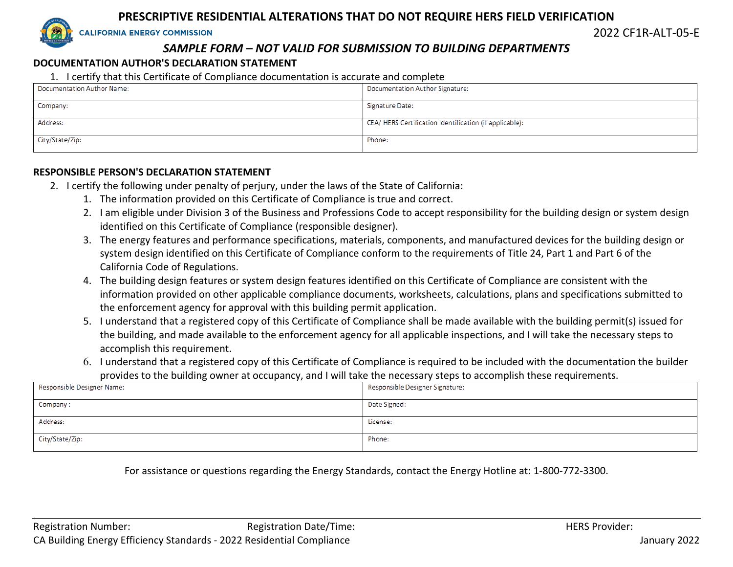**CALIFORNIA ENERGY COMMISSION** 

2022 CF1R-ALT-05-E

### *SAMPLE FORM – NOT VALID FOR SUBMISSION TO BUILDING DEPARTMENTS*

#### **DOCUMENTATION AUTHOR'S DECLARATION STATEMENT**

#### 1. I certify that this Certificate of Compliance documentation is accurate and complete

| Documentation Author Name: | Documentation Author Signature:                        |
|----------------------------|--------------------------------------------------------|
| Company:                   | Signature Date:                                        |
| Address:                   | CEA/HERS Certification Identification (if applicable): |
| City/State/Zip:            | Phone:                                                 |

#### **RESPONSIBLE PERSON'S DECLARATION STATEMENT**

- 2. I certify the following under penalty of perjury, under the laws of the State of California:
	- 1. The information provided on this Certificate of Compliance is true and correct.
	- 2. I am eligible under Division 3 of the Business and Professions Code to accept responsibility for the building design or system design identified on this Certificate of Compliance (responsible designer).
	- 3. The energy features and performance specifications, materials, components, and manufactured devices for the building design or system design identified on this Certificate of Compliance conform to the requirements of Title 24, Part 1 and Part 6 of the California Code of Regulations.
	- 4. The building design features or system design features identified on this Certificate of Compliance are consistent with the information provided on other applicable compliance documents, worksheets, calculations, plans and specifications submitted to the enforcement agency for approval with this building permit application.
	- 5. I understand that a registered copy of this Certificate of Compliance shall be made available with the building permit(s) issued for the building, and made available to the enforcement agency for all applicable inspections, and I will take the necessary steps to accomplish this requirement.
	- 6. I understand that a registered copy of this Certificate of Compliance is required to be included with the documentation the builder provides to the building owner at occupancy, and I will take the necessary steps to accomplish these requirements.

| Responsible Designer Name: | Responsible Designer Signature: |
|----------------------------|---------------------------------|
|                            |                                 |
| Company :                  | Date Signed:                    |
|                            |                                 |
| Address:                   | License:                        |
|                            |                                 |
| City/State/Zip:            | Phone:                          |
|                            |                                 |

For assistance or questions regarding the Energy Standards, contact the Energy Hotline at: 1-800-772-3300.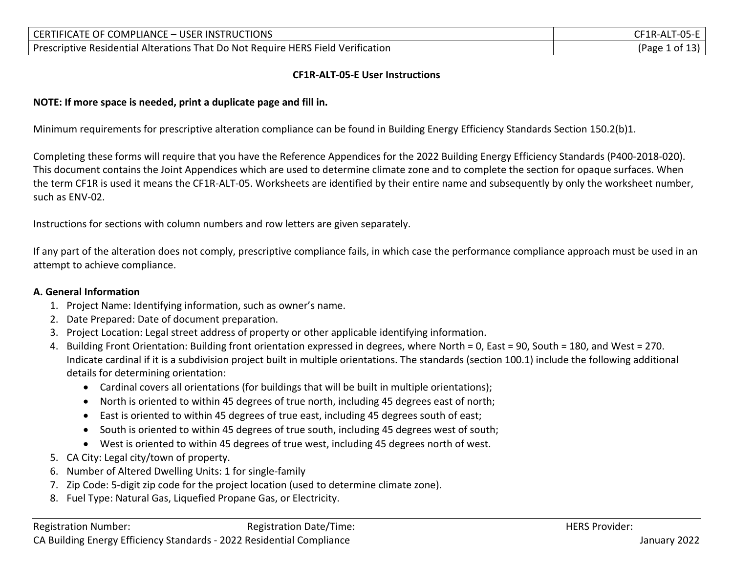| CERTIFICATE OF COMPLIANCE - USER INSTRUCTIONS                                    | CF1R-ALT-05-E  |
|----------------------------------------------------------------------------------|----------------|
| Prescriptive Residential Alterations That Do Not Require HERS Field Verification | (Page 1 of 13) |

#### **CF1R-ALT-05-E User Instructions**

#### **NOTE: If more space is needed, print a duplicate page and fill in.**

Minimum requirements for prescriptive alteration compliance can be found in Building Energy Efficiency Standards Section 150.2(b)1.

Completing these forms will require that you have the Reference Appendices for the 2022 Building Energy Efficiency Standards (P400-2018-020). This document contains the Joint Appendices which are used to determine climate zone and to complete the section for opaque surfaces. When the term CF1R is used it means the CF1R-ALT-05. Worksheets are identified by their entire name and subsequently by only the worksheet number, such as ENV-02.

Instructions for sections with column numbers and row letters are given separately.

If any part of the alteration does not comply, prescriptive compliance fails, in which case the performance compliance approach must be used in an attempt to achieve compliance.

#### **A. General Information**

- 1. Project Name: Identifying information, such as owner's name.
- 2. Date Prepared: Date of document preparation.
- 3. Project Location: Legal street address of property or other applicable identifying information.
- 4. Building Front Orientation: Building front orientation expressed in degrees, where North = 0, East = 90, South = 180, and West = 270. Indicate cardinal if it is a subdivision project built in multiple orientations. The standards (section 100.1) include the following additional details for determining orientation:
	- Cardinal covers all orientations (for buildings that will be built in multiple orientations);
	- North is oriented to within 45 degrees of true north, including 45 degrees east of north;
	- East is oriented to within 45 degrees of true east, including 45 degrees south of east;
	- South is oriented to within 45 degrees of true south, including 45 degrees west of south;
	- West is oriented to within 45 degrees of true west, including 45 degrees north of west.
- 5. CA City: Legal city/town of property.
- 6. Number of Altered Dwelling Units: 1 for single-family
- 7. Zip Code: 5-digit zip code for the project location (used to determine climate zone).
- 8. Fuel Type: Natural Gas, Liquefied Propane Gas, or Electricity.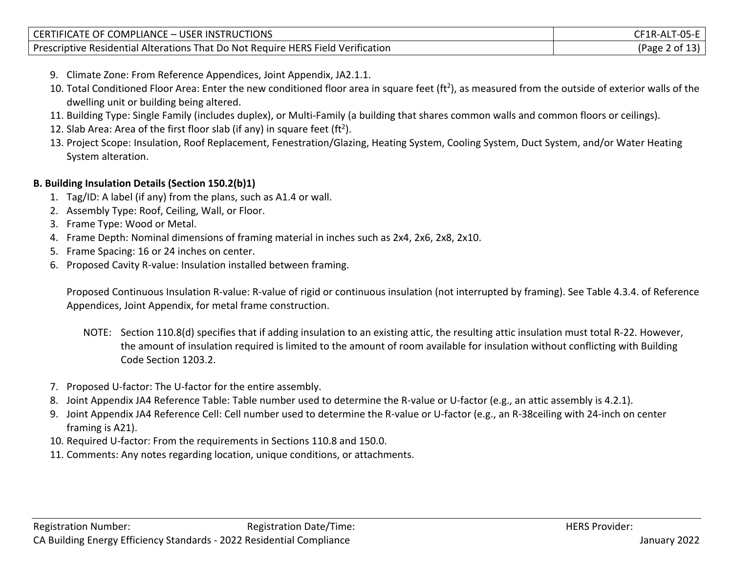| CERTIFICATE OF COMPLIANCE - USER INSTRUCTIONS                                    | CF1R-ALT-05-E  |
|----------------------------------------------------------------------------------|----------------|
| Prescriptive Residential Alterations That Do Not Require HERS Field Verification | (Page 2 of 13) |

- 9. Climate Zone: From Reference Appendices, Joint Appendix, JA2.1.1.
- 10. Total Conditioned Floor Area: Enter the new conditioned floor area in square feet (ft<sup>2</sup>), as measured from the outside of exterior walls of the dwelling unit or building being altered.
- 11. Building Type: Single Family (includes duplex), or Multi-Family (a building that shares common walls and common floors or ceilings).
- 12. Slab Area: Area of the first floor slab (if any) in square feet (ft<sup>2</sup>).
- 13. Project Scope: Insulation, Roof Replacement, Fenestration/Glazing, Heating System, Cooling System, Duct System, and/or Water Heating System alteration.

### **B. Building Insulation Details (Section 150.2(b)1)**

- 1. Tag/ID: A label (if any) from the plans, such as A1.4 or wall.
- 2. Assembly Type: Roof, Ceiling, Wall, or Floor.
- 3. Frame Type: Wood or Metal.
- 4. Frame Depth: Nominal dimensions of framing material in inches such as 2x4, 2x6, 2x8, 2x10.
- 5. Frame Spacing: 16 or 24 inches on center.
- 6. Proposed Cavity R-value: Insulation installed between framing.

Proposed Continuous Insulation R-value: R-value of rigid or continuous insulation (not interrupted by framing). See Table 4.3.4. of Reference Appendices, Joint Appendix, for metal frame construction.

- NOTE: Section 110.8(d) specifies that if adding insulation to an existing attic, the resulting attic insulation must total R-22. However, the amount of insulation required is limited to the amount of room available for insulation without conflicting with Building Code Section 1203.2.
- 7. Proposed U-factor: The U-factor for the entire assembly.
- 8. Joint Appendix JA4 Reference Table: Table number used to determine the R-value or U-factor (e.g., an attic assembly is 4.2.1).
- 9. Joint Appendix JA4 Reference Cell: Cell number used to determine the R-value or U-factor (e.g., an R-38ceiling with 24-inch on center framing is A21).
- 10. Required U-factor: From the requirements in Sections 110.8 and 150.0.
- 11. Comments: Any notes regarding location, unique conditions, or attachments.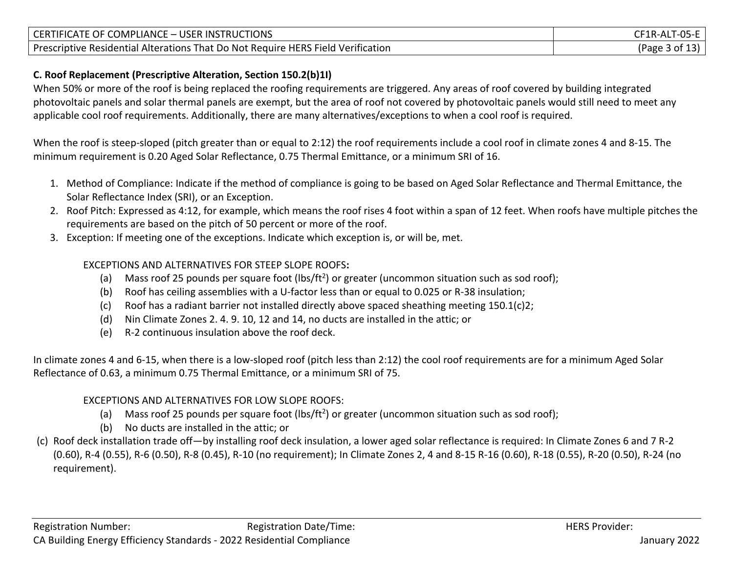| CERTIFICATE OF COMPLIANCE - USER INSTRUCTIONS                                    | CF1R-ALT-05-E  |
|----------------------------------------------------------------------------------|----------------|
| Prescriptive Residential Alterations That Do Not Require HERS Field Verification | (Page 3 of 13) |

# **C. Roof Replacement (Prescriptive Alteration, Section 150.2(b)1I)**

When 50% or more of the roof is being replaced the roofing requirements are triggered. Any areas of roof covered by building integrated photovoltaic panels and solar thermal panels are exempt, but the area of roof not covered by photovoltaic panels would still need to meet any applicable cool roof requirements. Additionally, there are many alternatives/exceptions to when a cool roof is required.

When the roof is steep-sloped (pitch greater than or equal to 2:12) the roof requirements include a cool roof in climate zones 4 and 8-15. The minimum requirement is 0.20 Aged Solar Reflectance, 0.75 Thermal Emittance, or a minimum SRI of 16.

- 1. Method of Compliance: Indicate if the method of compliance is going to be based on Aged Solar Reflectance and Thermal Emittance, the Solar Reflectance Index (SRI), or an Exception.
- 2. Roof Pitch: Expressed as 4:12, for example, which means the roof rises 4 foot within a span of 12 feet. When roofs have multiple pitches the requirements are based on the pitch of 50 percent or more of the roof.
- 3. Exception: If meeting one of the exceptions. Indicate which exception is, or will be, met.

## EXCEPTIONS AND ALTERNATIVES FOR STEEP SLOPE ROOFS**:**

- (a) Mass roof 25 pounds per square foot (lbs/ft<sup>2</sup>) or greater (uncommon situation such as sod roof);
- (b) Roof has ceiling assemblies with a U-factor less than or equal to 0.025 or R-38 insulation;
- (c) Roof has a radiant barrier not installed directly above spaced sheathing meeting  $150.1(c)$ ?
- (d) Nin Climate Zones 2. 4. 9. 10, 12 and 14, no ducts are installed in the attic; or
- (e) R-2 continuous insulation above the roof deck.

In climate zones 4 and 6-15, when there is a low-sloped roof (pitch less than 2:12) the cool roof requirements are for a minimum Aged Solar Reflectance of 0.63, a minimum 0.75 Thermal Emittance, or a minimum SRI of 75.

# EXCEPTIONS AND ALTERNATIVES FOR LOW SLOPE ROOFS:

- (a) Mass roof 25 pounds per square foot (lbs/ft<sup>2</sup>) or greater (uncommon situation such as sod roof);
- (b) No ducts are installed in the attic; or
- (c) Roof deck installation trade off—by installing roof deck insulation, a lower aged solar reflectance is required: In Climate Zones 6 and 7 R-2 (0.60), R-4 (0.55), R-6 (0.50), R-8 (0.45), R-10 (no requirement); In Climate Zones 2, 4 and 8-15 R-16 (0.60), R-18 (0.55), R-20 (0.50), R-24 (no requirement).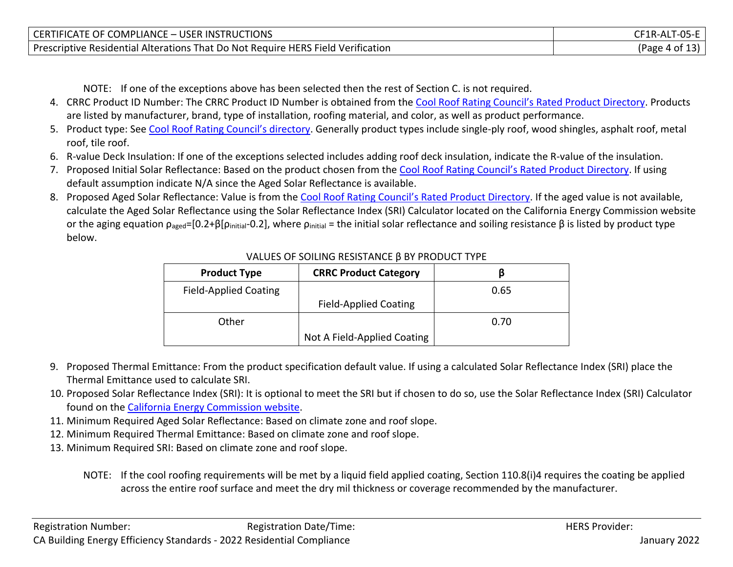| CERTIFICATE OF COMPLIANCE - USER INSTRUCTIONS                                    | CF1R-ALT-      |
|----------------------------------------------------------------------------------|----------------|
| Prescriptive Residential Alterations That Do Not Require HERS Field Verification | (Page 4 of 13) |

NOTE: If one of the exceptions above has been selected then the rest of Section C. is not required.

- 4. CRRC Product ID Number: The CRRC Product ID Number is obtained from the [Cool Roof Rating Council's Rated Product Directory](https://search.nfrc.org/search/Searchdefault.aspx). Products are listed by manufacturer, brand, type of installation, roofing material, and color, as well as product performance.
- 5. Product type: See [Cool Roof Rating Council's directory](https://search.nfrc.org/search/Searchdefault.aspx). Generally product types include single-ply roof, wood shingles, asphalt roof, metal roof, tile roof.
- 6. R-value Deck Insulation: If one of the exceptions selected includes adding roof deck insulation, indicate the R-value of the insulation.
- 7. Proposed Initial Solar Reflectance: Based on the product chosen from the [Cool Roof Rating Council's Rated Product Directory](https://search.nfrc.org/search/Searchdefault.aspx). If using default assumption indicate N/A since the Aged Solar Reflectance is available.
- 8. Proposed Aged Solar Reflectance: Value is from the [Cool Roof Rating Council's Rated Product Directory](https://search.nfrc.org/search/Searchdefault.aspx). If the aged value is not available, calculate the Aged Solar Reflectance using the Solar Reflectance Index (SRI) Calculator located on the California Energy Commission website or the aging equation  $ρ_{\text{a} \text{ged}} = [0.2 + β[ρ_{\text{initial}} - 0.2]$ , where  $ρ_{\text{initial}} =$  the initial solar reflectance and soiling resistance β is listed by product type below.

| <b>Product Type</b>          | <b>CRRC Product Category</b> |      |
|------------------------------|------------------------------|------|
| <b>Field-Applied Coating</b> |                              | 0.65 |
|                              | <b>Field-Applied Coating</b> |      |
| Other                        |                              | 0.70 |
|                              | Not A Field-Applied Coating  |      |

#### VALUES OF SOILING RESISTANCE β BY PRODUCT TYPE

- 9. Proposed Thermal Emittance: From the product specification default value. If using a calculated Solar Reflectance Index (SRI) place the Thermal Emittance used to calculate SRI.
- 10. Proposed Solar Reflectance Index (SRI): It is optional to meet the SRI but if chosen to do so, use the Solar Reflectance Index (SRI) Calculator found on the [California Energy Commission website.](https://www.energy.ca.gov/rules-and-regulations/building-energy-efficiency)
- 11. Minimum Required Aged Solar Reflectance: Based on climate zone and roof slope.
- 12. Minimum Required Thermal Emittance: Based on climate zone and roof slope.
- 13. Minimum Required SRI: Based on climate zone and roof slope.
	- NOTE: If the cool roofing requirements will be met by a liquid field applied coating, Section 110.8(i)4 requires the coating be applied across the entire roof surface and meet the dry mil thickness or coverage recommended by the manufacturer.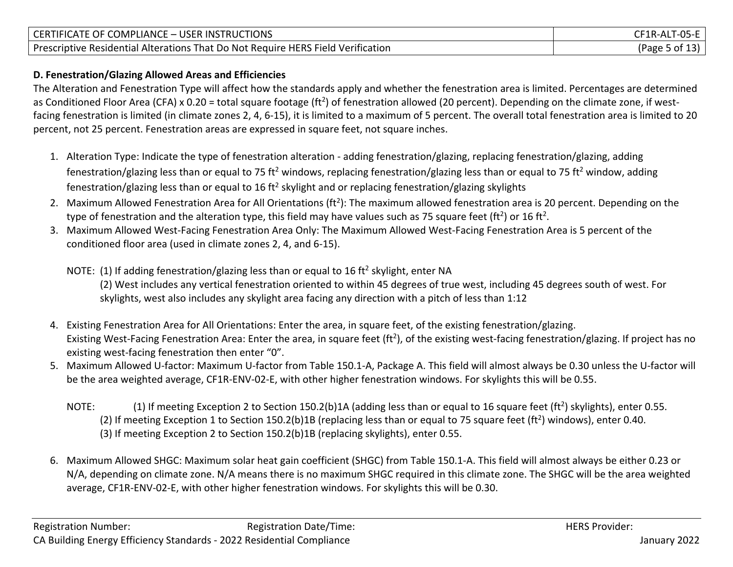| COMPLIANCE - USER INSTRUCTIONS                                                                 | <b>ALT-05-L</b>         |
|------------------------------------------------------------------------------------------------|-------------------------|
| <b>CERTIFICATE OF C</b>                                                                        | <b>F1R-AL.</b>          |
| * That Do Not Require HERS Field Verification<br><b>Prescriptive Residential Alterations T</b> | $\sim$<br>ot c<br>(Page |

### **D. Fenestration/Glazing Allowed Areas and Efficiencies**

The Alteration and Fenestration Type will affect how the standards apply and whether the fenestration area is limited. Percentages are determined as Conditioned Floor Area (CFA) x 0.20 = total square footage (ft<sup>2</sup>) of fenestration allowed (20 percent). Depending on the climate zone, if westfacing fenestration is limited (in climate zones 2, 4, 6-15), it is limited to a maximum of 5 percent. The overall total fenestration area is limited to 20 percent, not 25 percent. Fenestration areas are expressed in square feet, not square inches.

- 1. Alteration Type: Indicate the type of fenestration alteration adding fenestration/glazing, replacing fenestration/glazing, adding fenestration/glazing less than or equal to 75 ft<sup>2</sup> windows, replacing fenestration/glazing less than or equal to 75 ft<sup>2</sup> window, adding fenestration/glazing less than or equal to 16 ft<sup>2</sup> skylight and or replacing fenestration/glazing skylights
- 2. Maximum Allowed Fenestration Area for All Orientations (ft<sup>2</sup>): The maximum allowed fenestration area is 20 percent. Depending on the type of fenestration and the alteration type, this field may have values such as 75 square feet (ft<sup>2</sup>) or 16 ft<sup>2</sup>.
- 3. Maximum Allowed West-Facing Fenestration Area Only: The Maximum Allowed West-Facing Fenestration Area is 5 percent of the conditioned floor area (used in climate zones 2, 4, and 6-15).

### NOTE: (1) If adding fenestration/glazing less than or equal to 16 ft<sup>2</sup> skylight, enter NA (2) West includes any vertical fenestration oriented to within 45 degrees of true west, including 45 degrees south of west. For skylights, west also includes any skylight area facing any direction with a pitch of less than 1:12

- 4. Existing Fenestration Area for All Orientations: Enter the area, in square feet, of the existing fenestration/glazing. Existing West-Facing Fenestration Area: Enter the area, in square feet (ft<sup>2</sup>), of the existing west-facing fenestration/glazing. If project has no existing west-facing fenestration then enter "0".
- 5. Maximum Allowed U-factor: Maximum U-factor from Table 150.1-A, Package A. This field will almost always be 0.30 unless the U-factor will be the area weighted average, CF1R-ENV-02-E, with other higher fenestration windows. For skylights this will be 0.55.
	- NOTE: (1) If meeting Exception 2 to Section 150.2(b)1A (adding less than or equal to 16 square feet (ft<sup>2</sup>) skylights), enter 0.55. (2) If meeting Exception 1 to Section 150.2(b)1B (replacing less than or equal to 75 square feet (ft<sup>2</sup>) windows), enter 0.40. (3) If meeting Exception 2 to Section 150.2(b)1B (replacing skylights), enter 0.55.
- 6. Maximum Allowed SHGC: Maximum solar heat gain coefficient (SHGC) from Table 150.1-A. This field will almost always be either 0.23 or N/A, depending on climate zone. N/A means there is no maximum SHGC required in this climate zone. The SHGC will be the area weighted average, CF1R-ENV-02-E, with other higher fenestration windows. For skylights this will be 0.30.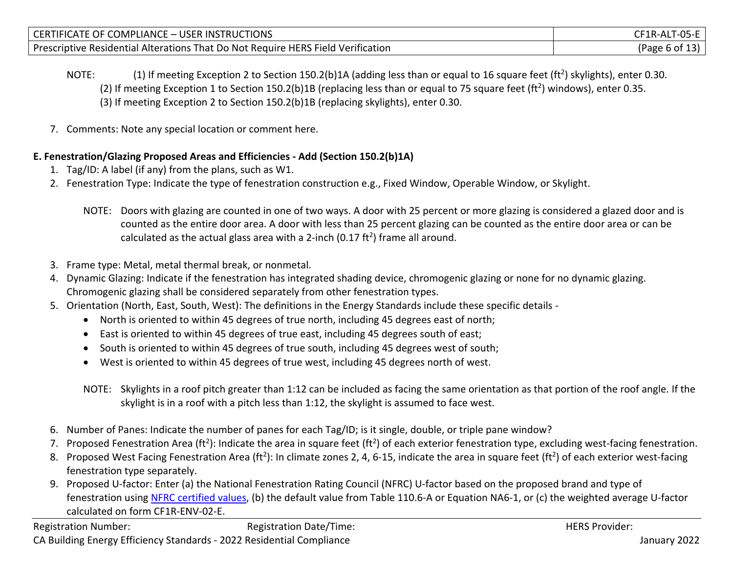| CERTIFICATE OF COMPLIANCE - USER INSTRUCTIONS                                    | CF1R-ALT-      |
|----------------------------------------------------------------------------------|----------------|
| Prescriptive Residential Alterations That Do Not Require HERS Field Verification | (Page 6 of 13) |

- NOTE:  $(1)$  If meeting Exception 2 to Section 150.2(b)1A (adding less than or equal to 16 square feet (ft<sup>2</sup>) skylights), enter 0.30. (2) If meeting Exception 1 to Section 150.2(b)1B (replacing less than or equal to 75 square feet (ft<sup>2</sup>) windows), enter 0.35. (3) If meeting Exception 2 to Section 150.2(b)1B (replacing skylights), enter 0.30.
- 7. Comments: Note any special location or comment here.

## **E. Fenestration/Glazing Proposed Areas and Efficiencies - Add (Section 150.2(b)1A)**

- 1. Tag/ID: A label (if any) from the plans, such as W1.
- 2. Fenestration Type: Indicate the type of fenestration construction e.g., Fixed Window, Operable Window, or Skylight.
	- NOTE: Doors with glazing are counted in one of two ways. A door with 25 percent or more glazing is considered a glazed door and is counted as the entire door area. A door with less than 25 percent glazing can be counted as the entire door area or can be calculated as the actual glass area with a 2-inch (0.17 ft<sup>2</sup>) frame all around.
- 3. Frame type: Metal, metal thermal break, or nonmetal.
- 4. Dynamic Glazing: Indicate if the fenestration has integrated shading device, chromogenic glazing or none for no dynamic glazing. Chromogenic glazing shall be considered separately from other fenestration types.
- 5. Orientation (North, East, South, West): The definitions in the Energy Standards include these specific details
	- North is oriented to within 45 degrees of true north, including 45 degrees east of north;
	- East is oriented to within 45 degrees of true east, including 45 degrees south of east;
	- South is oriented to within 45 degrees of true south, including 45 degrees west of south;
	- West is oriented to within 45 degrees of true west, including 45 degrees north of west.
	- NOTE: Skylights in a roof pitch greater than 1:12 can be included as facing the same orientation as that portion of the roof angle. If the skylight is in a roof with a pitch less than 1:12, the skylight is assumed to face west.
- 6. Number of Panes: Indicate the number of panes for each Tag/ID; is it single, double, or triple pane window?
- 7. Proposed Fenestration Area (ft<sup>2</sup>): Indicate the area in square feet (ft<sup>2</sup>) of each exterior fenestration type, excluding west-facing fenestration.
- 8. Proposed West Facing Fenestration Area (ft<sup>2</sup>): In climate zones 2, 4, 6-15, indicate the area in square feet (ft<sup>2</sup>) of each exterior west-facing fenestration type separately.
- 9. Proposed U-factor: Enter (a) the National Fenestration Rating Council (NFRC) U-factor based on the proposed brand and type of fenestration using NFRC [certified values,](https://search.nfrc.org/search/Searchdefault.aspx) (b) the default value from Table 110.6-A or Equation NA6-1, or (c) the weighted average U-factor calculated on form CF1R-ENV-02-E.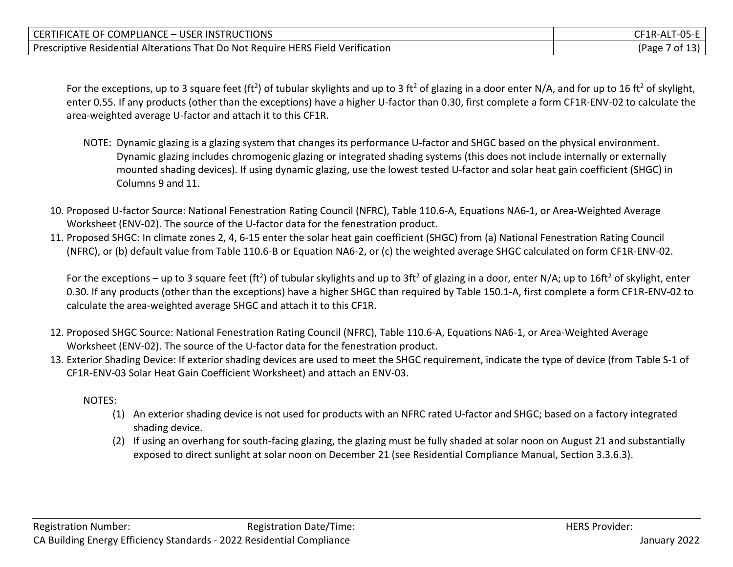| CERTIFICATE OF COMPLIANCE - USER INSTRUCTIONS                                    | $TFA-AT-05-E$                        |
|----------------------------------------------------------------------------------|--------------------------------------|
| Prescriptive Residential Alterations That Do Not Require HERS Field Verification | $\sim$ / of 1 <sup>o'</sup><br>(Page |

For the exceptions, up to 3 square feet (ft<sup>2</sup>) of tubular skylights and up to 3 ft<sup>2</sup> of glazing in a door enter N/A, and for up to 16 ft<sup>2</sup> of skylight, enter 0.55. If any products (other than the exceptions) have a higher U-factor than 0.30, first complete a form CF1R-ENV-02 to calculate the area-weighted average U-factor and attach it to this CF1R.

- NOTE: Dynamic glazing is a glazing system that changes its performance U-factor and SHGC based on the physical environment. Dynamic glazing includes chromogenic glazing or integrated shading systems (this does not include internally or externally mounted shading devices). If using dynamic glazing, use the lowest tested U-factor and solar heat gain coefficient (SHGC) in Columns 9 and 11.
- 10. Proposed U-factor Source: National Fenestration Rating Council (NFRC), Table 110.6-A, Equations NA6-1, or Area-Weighted Average Worksheet (ENV-02). The source of the U-factor data for the fenestration product.
- 11. Proposed SHGC: In climate zones 2, 4, 6-15 enter the solar heat gain coefficient (SHGC) from (a) National Fenestration Rating Council (NFRC), or (b) default value from Table 110.6-B or Equation NA6-2, or (c) the weighted average SHGC calculated on form CF1R-ENV-02.

For the exceptions – up to 3 square feet (ft<sup>2</sup>) of tubular skylights and up to 3ft<sup>2</sup> of glazing in a door, enter N/A; up to 16ft<sup>2</sup> of skylight, enter 0.30. If any products (other than the exceptions) have a higher SHGC than required by Table 150.1-A, first complete a form CF1R-ENV-02 to calculate the area-weighted average SHGC and attach it to this CF1R.

- 12. Proposed SHGC Source: National Fenestration Rating Council (NFRC), Table 110.6-A, Equations NA6-1, or Area-Weighted Average Worksheet (ENV-02). The source of the U-factor data for the fenestration product.
- 13. Exterior Shading Device: If exterior shading devices are used to meet the SHGC requirement, indicate the type of device (from Table S-1 of CF1R-ENV-03 Solar Heat Gain Coefficient Worksheet) and attach an ENV-03.

NOTES:

- (1) An exterior shading device is not used for products with an NFRC rated U-factor and SHGC; based on a factory integrated shading device.
- (2) If using an overhang for south-facing glazing, the glazing must be fully shaded at solar noon on August 21 and substantially exposed to direct sunlight at solar noon on December 21 (see Residential Compliance Manual, Section 3.3.6.3).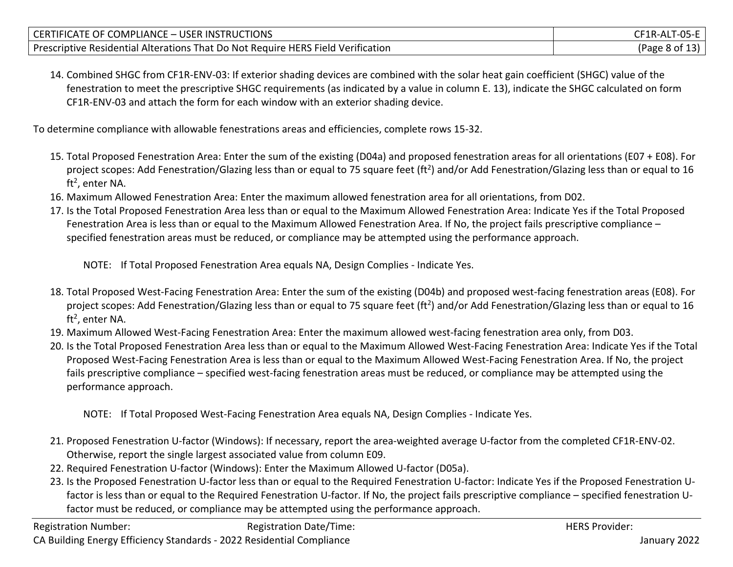| CERTIFICATE OF COMPLIANCE - USER INSTRUCTIONS                                    | CF1R-ALT-05-E  |
|----------------------------------------------------------------------------------|----------------|
| Prescriptive Residential Alterations That Do Not Require HERS Field Verification | (Page 8 of 13) |

14. Combined SHGC from CF1R-ENV-03: If exterior shading devices are combined with the solar heat gain coefficient (SHGC) value of the fenestration to meet the prescriptive SHGC requirements (as indicated by a value in column E. 13), indicate the SHGC calculated on form CF1R-ENV-03 and attach the form for each window with an exterior shading device.

To determine compliance with allowable fenestrations areas and efficiencies, complete rows 15-32.

- 15. Total Proposed Fenestration Area: Enter the sum of the existing (D04a) and proposed fenestration areas for all orientations (E07 + E08). For project scopes: Add Fenestration/Glazing less than or equal to 75 square feet (ft<sup>2</sup>) and/or Add Fenestration/Glazing less than or equal to 16 ft<sup>2</sup>, enter NA.
- 16. Maximum Allowed Fenestration Area: Enter the maximum allowed fenestration area for all orientations, from D02.
- 17. Is the Total Proposed Fenestration Area less than or equal to the Maximum Allowed Fenestration Area: Indicate Yes if the Total Proposed Fenestration Area is less than or equal to the Maximum Allowed Fenestration Area. If No, the project fails prescriptive compliance – specified fenestration areas must be reduced, or compliance may be attempted using the performance approach.

NOTE: If Total Proposed Fenestration Area equals NA, Design Complies - Indicate Yes.

- 18. Total Proposed West-Facing Fenestration Area: Enter the sum of the existing (D04b) and proposed west-facing fenestration areas (E08). For project scopes: Add Fenestration/Glazing less than or equal to 75 square feet (ft<sup>2</sup>) and/or Add Fenestration/Glazing less than or equal to 16 ft<sup>2</sup>, enter NA.
- 19. Maximum Allowed West-Facing Fenestration Area: Enter the maximum allowed west-facing fenestration area only, from D03.
- 20. Is the Total Proposed Fenestration Area less than or equal to the Maximum Allowed West-Facing Fenestration Area: Indicate Yes if the Total Proposed West-Facing Fenestration Area is less than or equal to the Maximum Allowed West-Facing Fenestration Area. If No, the project fails prescriptive compliance – specified west-facing fenestration areas must be reduced, or compliance may be attempted using the performance approach.

NOTE: If Total Proposed West-Facing Fenestration Area equals NA, Design Complies - Indicate Yes.

- 21. Proposed Fenestration U-factor (Windows): If necessary, report the area-weighted average U-factor from the completed CF1R-ENV-02. Otherwise, report the single largest associated value from column E09.
- 22. Required Fenestration U-factor (Windows): Enter the Maximum Allowed U-factor (D05a).
- 23. Is the Proposed Fenestration U-factor less than or equal to the Required Fenestration U-factor: Indicate Yes if the Proposed Fenestration Ufactor is less than or equal to the Required Fenestration U-factor. If No, the project fails prescriptive compliance – specified fenestration Ufactor must be reduced, or compliance may be attempted using the performance approach.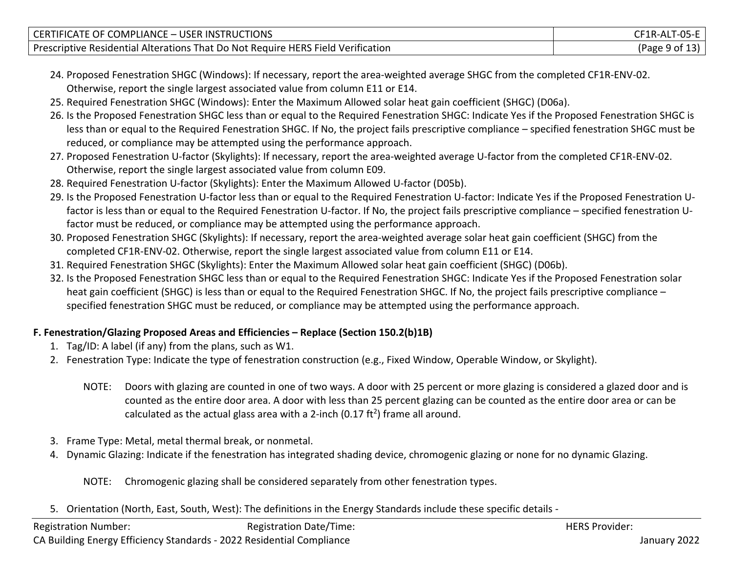| CERTIFICATE OF COMPLIANCE - USER INSTRUCTIONS                                    | CF1R-ALT-05-E  |
|----------------------------------------------------------------------------------|----------------|
| Prescriptive Residential Alterations That Do Not Require HERS Field Verification | (Page 9 of 13) |

- 24. Proposed Fenestration SHGC (Windows): If necessary, report the area-weighted average SHGC from the completed CF1R-ENV-02. Otherwise, report the single largest associated value from column E11 or E14.
- 25. Required Fenestration SHGC (Windows): Enter the Maximum Allowed solar heat gain coefficient (SHGC) (D06a).
- 26. Is the Proposed Fenestration SHGC less than or equal to the Required Fenestration SHGC: Indicate Yes if the Proposed Fenestration SHGC is less than or equal to the Required Fenestration SHGC. If No, the project fails prescriptive compliance – specified fenestration SHGC must be reduced, or compliance may be attempted using the performance approach.
- 27. Proposed Fenestration U-factor (Skylights): If necessary, report the area-weighted average U-factor from the completed CF1R-ENV-02. Otherwise, report the single largest associated value from column E09.
- 28. Required Fenestration U-factor (Skylights): Enter the Maximum Allowed U-factor (D05b).
- 29. Is the Proposed Fenestration U-factor less than or equal to the Required Fenestration U-factor: Indicate Yes if the Proposed Fenestration Ufactor is less than or equal to the Required Fenestration U-factor. If No, the project fails prescriptive compliance – specified fenestration Ufactor must be reduced, or compliance may be attempted using the performance approach.
- 30. Proposed Fenestration SHGC (Skylights): If necessary, report the area-weighted average solar heat gain coefficient (SHGC) from the completed CF1R-ENV-02. Otherwise, report the single largest associated value from column E11 or E14.
- 31. Required Fenestration SHGC (Skylights): Enter the Maximum Allowed solar heat gain coefficient (SHGC) (D06b).
- 32. Is the Proposed Fenestration SHGC less than or equal to the Required Fenestration SHGC: Indicate Yes if the Proposed Fenestration solar heat gain coefficient (SHGC) is less than or equal to the Required Fenestration SHGC. If No, the project fails prescriptive compliance – specified fenestration SHGC must be reduced, or compliance may be attempted using the performance approach.

## **F. Fenestration/Glazing Proposed Areas and Efficiencies – Replace (Section 150.2(b)1B)**

- 1. Tag/ID: A label (if any) from the plans, such as W1.
- 2. Fenestration Type: Indicate the type of fenestration construction (e.g., Fixed Window, Operable Window, or Skylight).
	- NOTE: Doors with glazing are counted in one of two ways. A door with 25 percent or more glazing is considered a glazed door and is counted as the entire door area. A door with less than 25 percent glazing can be counted as the entire door area or can be calculated as the actual glass area with a 2-inch (0.17 ft<sup>2</sup>) frame all around.
- 3. Frame Type: Metal, metal thermal break, or nonmetal.
- 4. Dynamic Glazing: Indicate if the fenestration has integrated shading device, chromogenic glazing or none for no dynamic Glazing.
	- NOTE: Chromogenic glazing shall be considered separately from other fenestration types.
- 5. Orientation (North, East, South, West): The definitions in the Energy Standards include these specific details -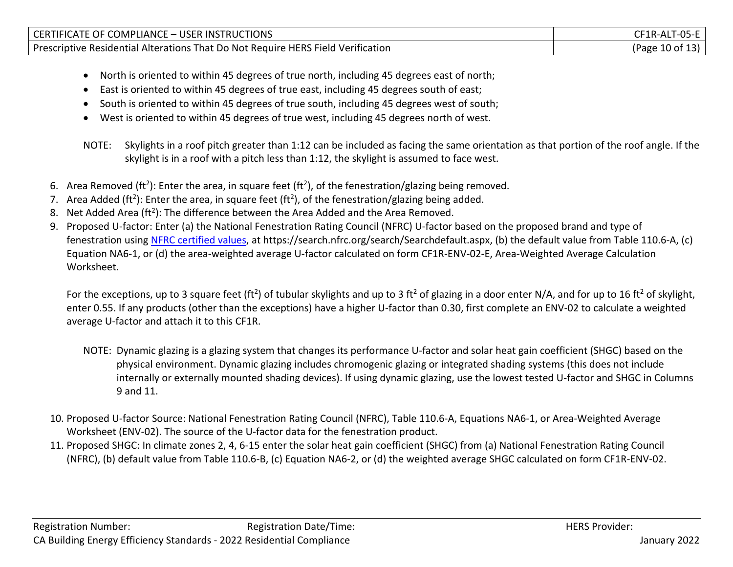| <b>COMPLIANCE</b><br>E – USER:<br><b>INSTRUCTIONS</b><br><b>CERTIFICATE OF C</b>                             | TR-MI                          |
|--------------------------------------------------------------------------------------------------------------|--------------------------------|
| <b>That Do Not Require HERS Field Verification</b><br>l Alterations <sup>-</sup><br>Prescriptive Residential | $\,$ : 10 of 1? $\,$<br>(Page) |

- North is oriented to within 45 degrees of true north, including 45 degrees east of north;
- East is oriented to within 45 degrees of true east, including 45 degrees south of east;
- South is oriented to within 45 degrees of true south, including 45 degrees west of south;
- West is oriented to within 45 degrees of true west, including 45 degrees north of west.

NOTE: Skylights in a roof pitch greater than 1:12 can be included as facing the same orientation as that portion of the roof angle. If the skylight is in a roof with a pitch less than 1:12, the skylight is assumed to face west.

- 6. Area Removed (ft<sup>2</sup>): Enter the area, in square feet (ft<sup>2</sup>), of the fenestration/glazing being removed.
- 7. Area Added (ft<sup>2</sup>): Enter the area, in square feet (ft<sup>2</sup>), of the fenestration/glazing being added.
- 8. Net Added Area (ft<sup>2</sup>): The difference between the Area Added and the Area Removed.
- 9. Proposed U-factor: Enter (a) the National Fenestration Rating Council (NFRC) U-factor based on the proposed brand and type of fenestration using [NFRC certified values,](https://search.nfrc.org/search/Searchdefault.aspx) at https://search.nfrc.org/search/Searchdefault.aspx, (b) the default value from Table 110.6-A, (c) Equation NA6-1, or (d) the area-weighted average U-factor calculated on form CF1R-ENV-02-E, Area-Weighted Average Calculation Worksheet.

For the exceptions, up to 3 square feet (ft<sup>2</sup>) of tubular skylights and up to 3 ft<sup>2</sup> of glazing in a door enter N/A, and for up to 16 ft<sup>2</sup> of skylight, enter 0.55. If any products (other than the exceptions) have a higher U-factor than 0.30, first complete an ENV-02 to calculate a weighted average U-factor and attach it to this CF1R.

- NOTE: Dynamic glazing is a glazing system that changes its performance U-factor and solar heat gain coefficient (SHGC) based on the physical environment. Dynamic glazing includes chromogenic glazing or integrated shading systems (this does not include internally or externally mounted shading devices). If using dynamic glazing, use the lowest tested U-factor and SHGC in Columns 9 and 11.
- 10. Proposed U-factor Source: National Fenestration Rating Council (NFRC), Table 110.6-A, Equations NA6-1, or Area-Weighted Average Worksheet (ENV-02). The source of the U-factor data for the fenestration product.
- 11. Proposed SHGC: In climate zones 2, 4, 6-15 enter the solar heat gain coefficient (SHGC) from (a) National Fenestration Rating Council (NFRC), (b) default value from Table 110.6-B, (c) Equation NA6-2, or (d) the weighted average SHGC calculated on form CF1R-ENV-02.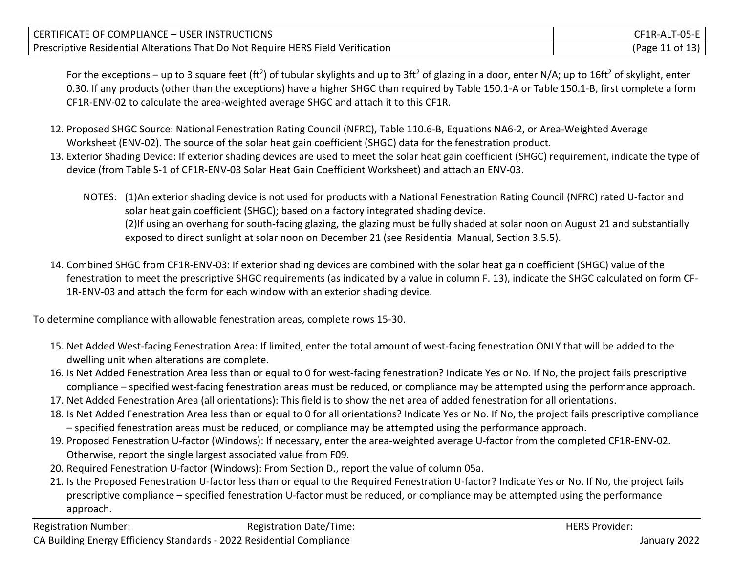| CERTIFICATE OF COMPLIANCE – USER INSTRUCTIONS                                    | CF1R-ALT-05-E   |
|----------------------------------------------------------------------------------|-----------------|
| Prescriptive Residential Alterations That Do Not Require HERS Field Verification | (Page 11 of 13) |

For the exceptions – up to 3 square feet (ft<sup>2</sup>) of tubular skylights and up to 3ft<sup>2</sup> of glazing in a door, enter N/A; up to 16ft<sup>2</sup> of skylight, enter 0.30. If any products (other than the exceptions) have a higher SHGC than required by Table 150.1-A or Table 150.1-B, first complete a form CF1R-ENV-02 to calculate the area-weighted average SHGC and attach it to this CF1R.

- 12. Proposed SHGC Source: National Fenestration Rating Council (NFRC), Table 110.6-B, Equations NA6-2, or Area-Weighted Average Worksheet (ENV-02). The source of the solar heat gain coefficient (SHGC) data for the fenestration product.
- 13. Exterior Shading Device: If exterior shading devices are used to meet the solar heat gain coefficient (SHGC) requirement, indicate the type of device (from Table S-1 of CF1R-ENV-03 Solar Heat Gain Coefficient Worksheet) and attach an ENV-03.
	- NOTES: (1)An exterior shading device is not used for products with a National Fenestration Rating Council (NFRC) rated U-factor and solar heat gain coefficient (SHGC); based on a factory integrated shading device. (2)If using an overhang for south-facing glazing, the glazing must be fully shaded at solar noon on August 21 and substantially exposed to direct sunlight at solar noon on December 21 (see Residential Manual, Section 3.5.5).
- 14. Combined SHGC from CF1R-ENV-03: If exterior shading devices are combined with the solar heat gain coefficient (SHGC) value of the fenestration to meet the prescriptive SHGC requirements (as indicated by a value in column F. 13), indicate the SHGC calculated on form CF-1R-ENV-03 and attach the form for each window with an exterior shading device.

To determine compliance with allowable fenestration areas, complete rows 15-30.

- 15. Net Added West-facing Fenestration Area: If limited, enter the total amount of west-facing fenestration ONLY that will be added to the dwelling unit when alterations are complete.
- 16. Is Net Added Fenestration Area less than or equal to 0 for west-facing fenestration? Indicate Yes or No. If No, the project fails prescriptive compliance – specified west-facing fenestration areas must be reduced, or compliance may be attempted using the performance approach.
- 17. Net Added Fenestration Area (all orientations): This field is to show the net area of added fenestration for all orientations.
- 18. Is Net Added Fenestration Area less than or equal to 0 for all orientations? Indicate Yes or No. If No, the project fails prescriptive compliance – specified fenestration areas must be reduced, or compliance may be attempted using the performance approach.
- 19. Proposed Fenestration U-factor (Windows): If necessary, enter the area-weighted average U-factor from the completed CF1R-ENV-02. Otherwise, report the single largest associated value from F09.
- 20. Required Fenestration U-factor (Windows): From Section D., report the value of column 05a.
- 21. Is the Proposed Fenestration U-factor less than or equal to the Required Fenestration U-factor? Indicate Yes or No. If No, the project fails prescriptive compliance – specified fenestration U-factor must be reduced, or compliance may be attempted using the performance approach.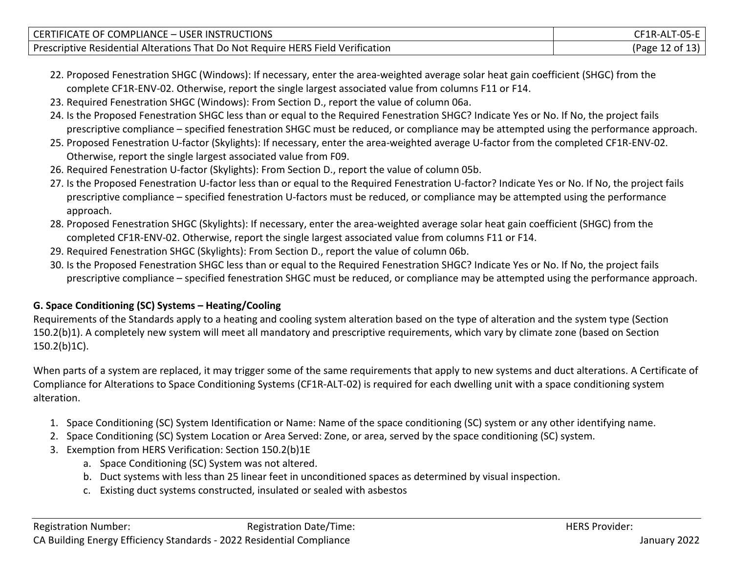| CERTIFICATE OF COMPLIANCE - USER INSTRUCTIONS                                    | CF1R-ALT-05-E   |
|----------------------------------------------------------------------------------|-----------------|
| Prescriptive Residential Alterations That Do Not Require HERS Field Verification | (Page 12 of 13) |

- 22. Proposed Fenestration SHGC (Windows): If necessary, enter the area-weighted average solar heat gain coefficient (SHGC) from the complete CF1R-ENV-02. Otherwise, report the single largest associated value from columns F11 or F14.
- 23. Required Fenestration SHGC (Windows): From Section D., report the value of column 06a.
- 24. Is the Proposed Fenestration SHGC less than or equal to the Required Fenestration SHGC? Indicate Yes or No. If No, the project fails prescriptive compliance – specified fenestration SHGC must be reduced, or compliance may be attempted using the performance approach.
- 25. Proposed Fenestration U-factor (Skylights): If necessary, enter the area-weighted average U-factor from the completed CF1R-ENV-02. Otherwise, report the single largest associated value from F09.
- 26. Required Fenestration U-factor (Skylights): From Section D., report the value of column 05b.
- 27. Is the Proposed Fenestration U-factor less than or equal to the Required Fenestration U-factor? Indicate Yes or No. If No, the project fails prescriptive compliance – specified fenestration U-factors must be reduced, or compliance may be attempted using the performance approach.
- 28. Proposed Fenestration SHGC (Skylights): If necessary, enter the area-weighted average solar heat gain coefficient (SHGC) from the completed CF1R-ENV-02. Otherwise, report the single largest associated value from columns F11 or F14.
- 29. Required Fenestration SHGC (Skylights): From Section D., report the value of column 06b.
- 30. Is the Proposed Fenestration SHGC less than or equal to the Required Fenestration SHGC? Indicate Yes or No. If No, the project fails prescriptive compliance – specified fenestration SHGC must be reduced, or compliance may be attempted using the performance approach.

# **G. Space Conditioning (SC) Systems – Heating/Cooling**

Requirements of the Standards apply to a heating and cooling system alteration based on the type of alteration and the system type (Section 150.2(b)1). A completely new system will meet all mandatory and prescriptive requirements, which vary by climate zone (based on Section 150.2(b)1C).

When parts of a system are replaced, it may trigger some of the same requirements that apply to new systems and duct alterations. A Certificate of Compliance for Alterations to Space Conditioning Systems (CF1R-ALT-02) is required for each dwelling unit with a space conditioning system alteration.

- 1. Space Conditioning (SC) System Identification or Name: Name of the space conditioning (SC) system or any other identifying name.
- 2. Space Conditioning (SC) System Location or Area Served: Zone, or area, served by the space conditioning (SC) system.
- 3. Exemption from HERS Verification: Section 150.2(b)1E
	- a. Space Conditioning (SC) System was not altered.
	- b. Duct systems with less than 25 linear feet in unconditioned spaces as determined by visual inspection.
	- c. Existing duct systems constructed, insulated or sealed with asbestos